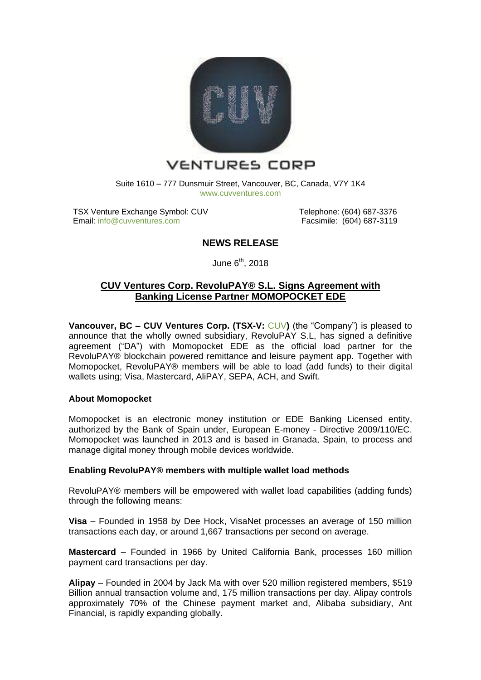

**VENTURES CORP** 

Suite 1610 – 777 Dunsmuir Street, Vancouver, BC, Canada, V7Y 1K4 [www.cuvventures.com](http://www.cuvventures.com/)

TSX Venture Exchange Symbol: CUV Email: [info@cuvventures.com](mailto:info@cuvventures.com)

 Telephone: (604) 687-3376 Facsimile: (604) 687-3119

# **NEWS RELEASE**

June 6<sup>th</sup>, 2018

# **CUV Ventures Corp. RevoluPAY® S.L. Signs Agreement with Banking License Partner MOMOPOCKET EDE**

**Vancouver, BC – CUV Ventures Corp. (TSX-V:** [CUV](http://web.tmxmoney.com/quote.php?qm_symbol=CUV)**)** (the "Company") is pleased to announce that the wholly owned subsidiary, RevoluPAY S.L, has signed a definitive agreement ("DA") with Momopocket EDE as the official load partner for the RevoluPAY® blockchain powered remittance and leisure payment app. Together with Momopocket, RevoluPAY® members will be able to load (add funds) to their digital wallets using; Visa, Mastercard, AliPAY, SEPA, ACH, and Swift.

# **About Momopocket**

Momopocket is an electronic money institution or EDE Banking Licensed entity, authorized by the Bank of Spain under, European E-money - Directive 2009/110/EC. Momopocket was launched in 2013 and is based in Granada, Spain, to process and manage digital money through mobile devices worldwide.

# **Enabling RevoluPAY® members with multiple wallet load methods**

RevoluPAY® members will be empowered with wallet load capabilities (adding funds) through the following means:

**Visa** – Founded in 1958 by Dee Hock, VisaNet processes an average of 150 million transactions each day, or around 1,667 transactions per second on average.

**Mastercard** – Founded in 1966 by United California Bank, processes 160 million payment card transactions per day.

**Alipay** – Founded in 2004 by Jack Ma with over [520 million registered members,](https://expandedramblings.com/index.php/alipay-statistics/) \$519 Billion annual transaction volume and, 175 million transactions per day. Alipay controls approximately 70% of the Chinese payment market and, Alibaba subsidiary, Ant Financial, is rapidly expanding globally.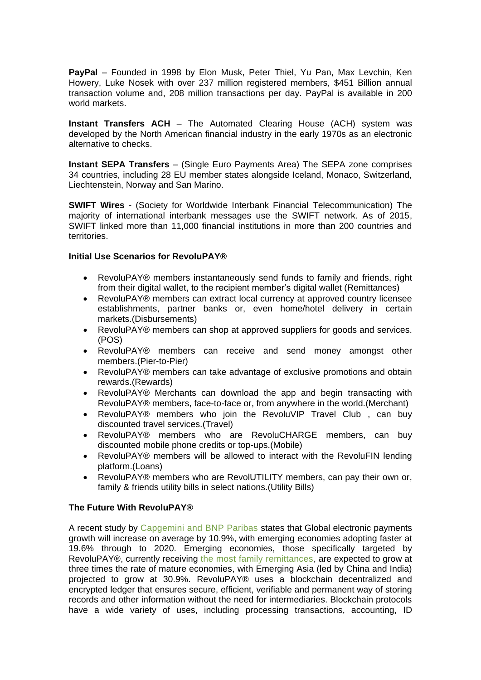**PayPal** – Founded in 1998 by Elon Musk, Peter Thiel, Yu Pan, Max Levchin, Ken Howery, Luke Nosek with over [237 million registered members,](https://www.statista.com/statistics/218493/paypals-total-active-registered-accounts-from-2010/) \$451 Billion annual transaction volume and, 208 million transactions per day. PayPal is available in 200 world markets.

**Instant Transfers ACH** – The Automated Clearing House (ACH) system was developed by the North American financial industry in the early 1970s as an electronic alternative to checks.

**Instant SEPA Transfers** – (Single Euro Payments Area) The SEPA zone comprises 34 countries, including 28 EU member states alongside Iceland, Monaco, Switzerland, Liechtenstein, Norway and San Marino.

**SWIFT Wires** - (Society for Worldwide Interbank Financial Telecommunication) The majority of international interbank messages use the SWIFT network. As of 2015, SWIFT linked more than 11,000 financial institutions in more than 200 countries and territories.

#### **Initial Use Scenarios for RevoluPAY®**

- RevoluPAY® members instantaneously send funds to family and friends, right from their digital wallet, to the recipient member's digital wallet (Remittances)
- RevoluPAY® members can extract local currency at approved country licensee establishments, partner banks or, even home/hotel delivery in certain markets.(Disbursements)
- RevoluPAY® members can shop at approved suppliers for goods and services. (POS)
- RevoluPAY® members can receive and send money amongst other members.(Pier-to-Pier)
- RevoluPAY® members can take advantage of exclusive promotions and obtain rewards.(Rewards)
- RevoluPAY® Merchants can download the app and begin transacting with RevoluPAY® members, face-to-face or, from anywhere in the world.(Merchant)
- RevoluPAY® members who join the RevoluVIP Travel Club , can buy discounted travel services.(Travel)
- RevoluPAY® members who are RevoluCHARGE members, can buy discounted mobile phone credits or top-ups.(Mobile)
- RevoluPAY® members will be allowed to interact with the RevoluFIN lending platform.(Loans)
- RevoluPAY® members who are RevolUTILITY members, can pay their own or, family & friends utility bills in select nations.(Utility Bills)

# **The Future With RevoluPAY®**

A recent study by [Capgemini and BNP Paribas](https://www.capgemini.com/service/world-payments-report-2017-from-capgemini-and-bnp-paribas/) states that Global electronic payments growth will increase on average by 10.9%, with emerging economies adopting faster at 19.6% through to 2020. Emerging economies, those specifically targeted by RevoluPAY®, currently receiving [the most family remittances,](http://www.worldbank.org/en/topic/migrationremittancesdiasporaissues/brief/migration-remittances-data) are expected to grow at three times the rate of mature economies, with Emerging Asia (led by China and India) projected to grow at 30.9%. RevoluPAY® uses a blockchain decentralized and encrypted ledger that ensures secure, efficient, verifiable and permanent way of storing records and other information without the need for intermediaries. Blockchain protocols have a wide variety of uses, including processing transactions, accounting, ID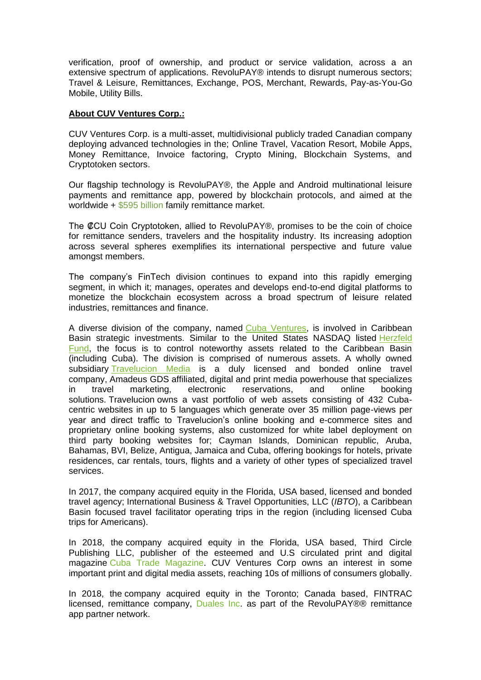verification, proof of ownership, and product or service validation, across a an extensive spectrum of applications. RevoluPAY® intends to disrupt numerous sectors; Travel & Leisure, Remittances, Exchange, POS, Merchant, Rewards, Pay-as-You-Go Mobile, Utility Bills.

### **About CUV Ventures Corp.:**

CUV Ventures Corp. is a multi-asset, multidivisional publicly traded Canadian company deploying advanced technologies in the; Online Travel, Vacation Resort, Mobile Apps, Money Remittance, Invoice factoring, Crypto Mining, Blockchain Systems, and Cryptotoken sectors.

Our flagship technology is RevoluPAY®, the Apple and Android multinational leisure payments and remittance app, powered by blockchain protocols, and aimed at the worldwide + \$595 [billion](http://www.worldbank.org/en/topic/migrationremittancesdiasporaissues/brief/migration-remittances-data) family remittance market.

The ₡CU Coin Cryptotoken, allied to RevoluPAY®, promises to be the coin of choice for remittance senders, travelers and the hospitality industry. Its increasing adoption across several spheres exemplifies its international perspective and future value amongst members.

The company's FinTech division continues to expand into this rapidly emerging segment, in which it; manages, operates and develops end-to-end digital platforms to monetize the blockchain ecosystem across a broad spectrum of leisure related industries, remittances and finance.

A diverse division of the company, named [Cuba Ventures,](http://www.cubaventures.com/) is involved in Caribbean Basin strategic investments. Similar to the United States NASDAQ listed Herzfeld [Fund,](https://www.herzfeld.com/cuba) the focus is to control noteworthy assets related to the Caribbean Basin (including Cuba). The division is comprised of numerous assets. A wholly owned subsidiary **Travelucion** Media is a duly licensed and bonded online travel company, [Amadeus GDS](http://www.amadeus.com/) affiliated, digital and print media powerhouse that specializes in travel marketing, electronic reservations, and online booking solutions. [Travelucion](http://www.travelucion.com/) owns a vast portfolio of web assets consisting of 432 Cubacentric websites in up to 5 languages which generate over 35 million page-views per year and direct traffic to Travelucion's online booking and e-commerce sites and proprietary online booking systems, also customized for white label deployment on third party booking websites for; Cayman Islands, Dominican republic, Aruba, Bahamas, BVI, Belize, Antigua, Jamaica and Cuba, offering bookings for hotels, private residences, car rentals, tours, flights and a variety of other types of specialized travel services.

In 2017, the company acquired equity in the Florida, USA based, licensed and bonded travel agency; International Business & Travel Opportunities, LLC (*IBTO*), a Caribbean Basin focused travel facilitator operating trips in the region (including licensed Cuba trips for Americans).

In 2018, the company acquired equity in the Florida, USA based, Third Circle Publishing LLC, publisher of the esteemed and U.S circulated print and digital magazine [Cuba Trade Magazine.](http://www.cubatrademagazine.com/) CUV Ventures Corp owns an interest in some important print and digital media assets, reaching 10s of millions of consumers globally.

In 2018, the company acquired equity in the Toronto; Canada based, FINTRAC licensed, remittance company, [Duales Inc.](http://www.duales.com/) as part of the RevoluPAY®® remittance app partner network.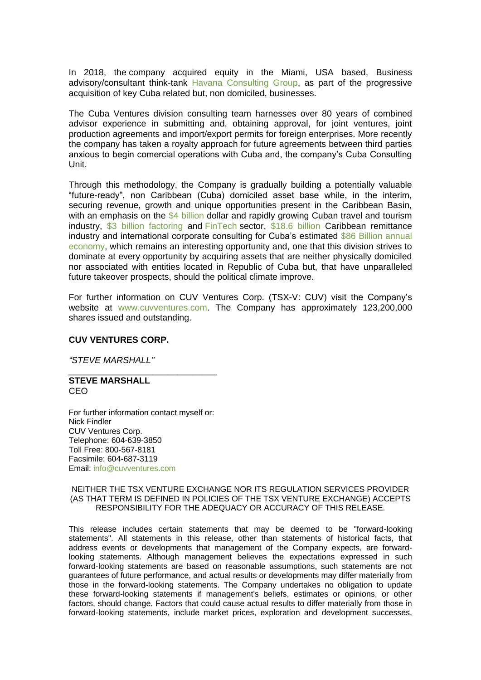In 2018, the company acquired equity in the Miami, USA based, Business advisory/consultant think-tank [Havana Consulting Group,](http://www.thehavanaconsultinggroup.com/) as part of the progressive acquisition of key Cuba related but, non domiciled, businesses.

The Cuba Ventures division consulting team harnesses over 80 years of combined advisor experience in submitting and, obtaining approval, for joint ventures, joint production agreements and import/export permits for foreign enterprises. More recently the company has taken a royalty approach for future agreements between third parties anxious to begin comercial operations with Cuba and, the company's Cuba Consulting Unit.

Through this methodology, the Company is gradually building a potentially valuable "future-ready", non Caribbean (Cuba) domiciled asset base while, in the interim, securing revenue, growth and unique opportunities present in the Caribbean Basin, with an emphasis on the [\\$4 billion](https://wits.worldbank.org/CountryProfile/en/CUB) dollar and rapidly growing Cuban travel and tourism industry, [\\$3 billion factoring](https://wits.worldbank.org/CountryProfile/en/CUB) and [FinTech](http://www.revolufin.com/) sector, [\\$18.6 billion](http://www.worldbank.org/en/topic/migrationremittancesdiasporaissues/brief/migration-remittances-data) Caribbean remittance industry and international corporate consulting for Cuba's estimated [\\$86 Billion annual](https://es.wikipedia.org/wiki/Economía_de_Cuba)  [economy,](https://es.wikipedia.org/wiki/Economía_de_Cuba) which remains an interesting opportunity and, one that this division strives to dominate at every opportunity by acquiring assets that are neither physically domiciled nor associated with entities located in Republic of Cuba but, that have unparalleled future takeover prospects, should the political climate improve.

For further information on CUV Ventures Corp. (TSX-V: CUV) visit the Company's website at [www.cuvventures.com.](http://www.cuvventures.com/) The Company has approximately 123,200,000 shares issued and outstanding.

#### **CUV VENTURES CORP.**

*"STEVE MARSHALL"*

#### **STEVE MARSHALL** CEO

For further information contact myself or: Nick Findler CUV Ventures Corp. Telephone: 604-639-3850 Toll Free: 800-567-8181 Facsimile: 604-687-3119 Email: [info@cuvventures.com](mailto:info@cuvventures.com)

\_\_\_\_\_\_\_\_\_\_\_\_\_\_\_\_\_\_\_\_\_\_\_\_\_\_\_\_\_\_

#### NEITHER THE TSX VENTURE EXCHANGE NOR ITS REGULATION SERVICES PROVIDER (AS THAT TERM IS DEFINED IN POLICIES OF THE TSX VENTURE EXCHANGE) ACCEPTS RESPONSIBILITY FOR THE ADEQUACY OR ACCURACY OF THIS RELEASE.

This release includes certain statements that may be deemed to be "forward-looking statements". All statements in this release, other than statements of historical facts, that address events or developments that management of the Company expects, are forwardlooking statements. Although management believes the expectations expressed in such forward-looking statements are based on reasonable assumptions, such statements are not guarantees of future performance, and actual results or developments may differ materially from those in the forward-looking statements. The Company undertakes no obligation to update these forward-looking statements if management's beliefs, estimates or opinions, or other factors, should change. Factors that could cause actual results to differ materially from those in forward-looking statements, include market prices, exploration and development successes,